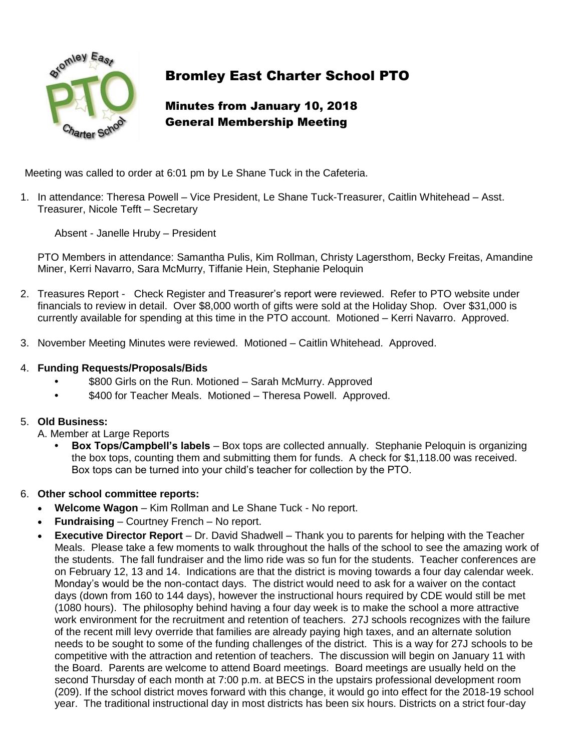

# Bromley East Charter School PTO

# Minutes from January 10, 2018 General Membership Meeting

Meeting was called to order at 6:01 pm by Le Shane Tuck in the Cafeteria.

1. In attendance: Theresa Powell – Vice President, Le Shane Tuck-Treasurer, Caitlin Whitehead – Asst. Treasurer, Nicole Tefft – Secretary

Absent - Janelle Hruby – President

PTO Members in attendance: Samantha Pulis, Kim Rollman, Christy Lagersthom, Becky Freitas, Amandine Miner, Kerri Navarro, Sara McMurry, Tiffanie Hein, Stephanie Peloquin

- 2. Treasures Report Check Register and Treasurer's report were reviewed. Refer to PTO website under financials to review in detail. Over \$8,000 worth of gifts were sold at the Holiday Shop. Over \$31,000 is currently available for spending at this time in the PTO account. Motioned – Kerri Navarro. Approved.
- 3. November Meeting Minutes were reviewed. Motioned Caitlin Whitehead. Approved.
- 4. **Funding Requests/Proposals/Bids**
	- **•** \$800 Girls on the Run. Motioned Sarah McMurry. Approved
	- **•** \$400 for Teacher Meals. Motioned Theresa Powell. Approved.

#### 5. **Old Business:**

A. Member at Large Reports

- **• Box Tops/Campbell's labels** Box tops are collected annually. Stephanie Peloquin is organizing the box tops, counting them and submitting them for funds. A check for \$1,118.00 was received. Box tops can be turned into your child's teacher for collection by the PTO.
- 6. **Other school committee reports:**
	- **Welcome Wagon** Kim Rollman and Le Shane Tuck No report.
	- **Fundraising**  Courtney French No report.
	- **Executive Director Report** Dr. David Shadwell Thank you to parents for helping with the Teacher Meals. Please take a few moments to walk throughout the halls of the school to see the amazing work of the students. The fall fundraiser and the limo ride was so fun for the students. Teacher conferences are on February 12, 13 and 14. Indications are that the district is moving towards a four day calendar week. Monday's would be the non-contact days. The district would need to ask for a waiver on the contact days (down from 160 to 144 days), however the instructional hours required by CDE would still be met (1080 hours). The philosophy behind having a four day week is to make the school a more attractive work environment for the recruitment and retention of teachers. 27J schools recognizes with the failure of the recent mill levy override that families are already paying high taxes, and an alternate solution needs to be sought to some of the funding challenges of the district. This is a way for 27J schools to be competitive with the attraction and retention of teachers. The discussion will begin on January 11 with the Board. Parents are welcome to attend Board meetings. Board meetings are usually held on the second Thursday of each month at 7:00 p.m. at BECS in the upstairs professional development room (209). If the school district moves forward with this change, it would go into effect for the 2018-19 school year. The traditional instructional day in most districts has been six hours. Districts on a strict four-day